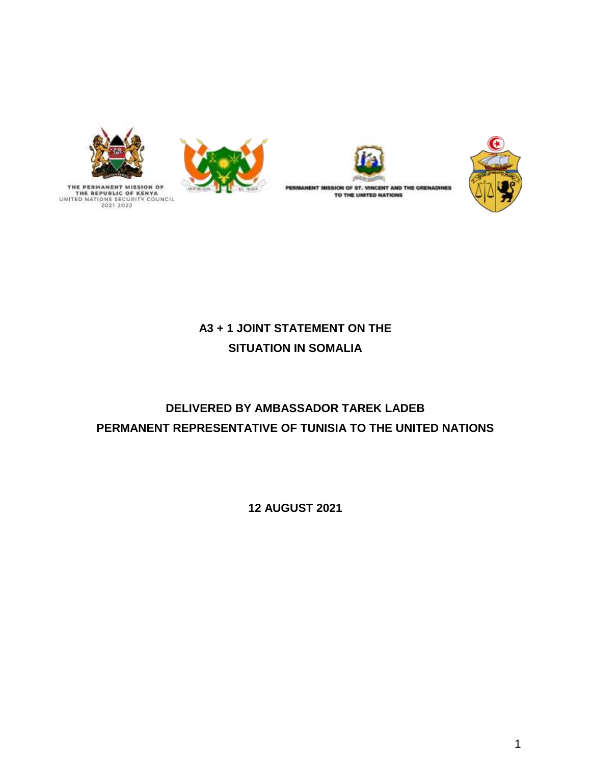

THE PERMANENT MISSION OF<br>THE REPUBLIC OF KENYA<br>UNITED NATIONS SECURITY COUNCIL<br>2021-2022





PERMANENT MISSION OF ST. VINCENT AND THE GRENADINES TO THE UNITED NATIONS



## **A3 + 1 JOINT STATEMENT ON THE SITUATION IN SOMALIA**

# **DELIVERED BY AMBASSADOR TAREK LADEB PERMANENT REPRESENTATIVE OF TUNISIA TO THE UNITED NATIONS**

**12 AUGUST 2021**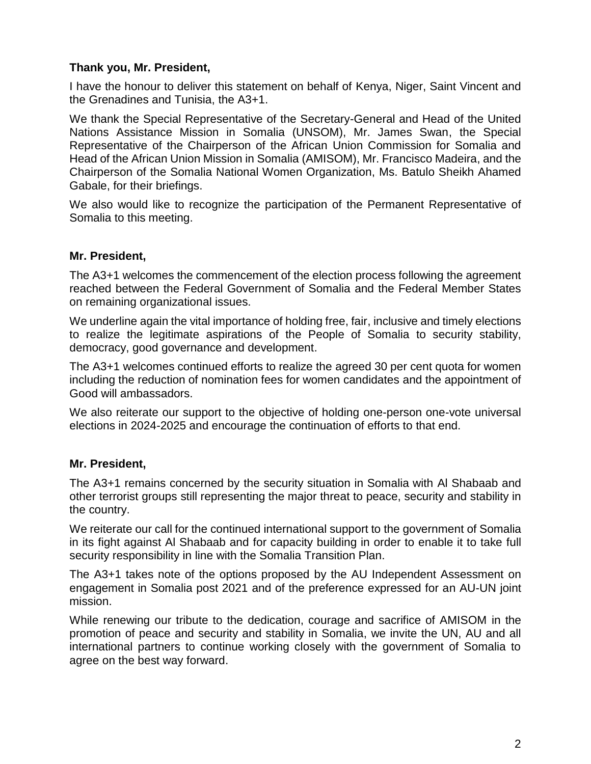## **Thank you, Mr. President,**

I have the honour to deliver this statement on behalf of Kenya, Niger, Saint Vincent and the Grenadines and Tunisia, the A3+1.

We thank the Special Representative of the Secretary-General and Head of the United Nations Assistance Mission in Somalia (UNSOM), Mr. James Swan, the Special Representative of the Chairperson of the African Union Commission for Somalia and Head of the African Union Mission in Somalia (AMISOM), Mr. Francisco Madeira, and the Chairperson of the Somalia National Women Organization, Ms. Batulo Sheikh Ahamed Gabale, for their briefings.

We also would like to recognize the participation of the Permanent Representative of Somalia to this meeting.

### **Mr. President,**

The A3+1 welcomes the commencement of the election process following the agreement reached between the Federal Government of Somalia and the Federal Member States on remaining organizational issues.

We underline again the vital importance of holding free, fair, inclusive and timely elections to realize the legitimate aspirations of the People of Somalia to security stability, democracy, good governance and development.

The A3+1 welcomes continued efforts to realize the agreed 30 per cent quota for women including the reduction of nomination fees for women candidates and the appointment of Good will ambassadors.

We also reiterate our support to the objective of holding one-person one-vote universal elections in 2024-2025 and encourage the continuation of efforts to that end.

### **Mr. President,**

The A3+1 remains concerned by the security situation in Somalia with Al Shabaab and other terrorist groups still representing the major threat to peace, security and stability in the country.

We reiterate our call for the continued international support to the government of Somalia in its fight against Al Shabaab and for capacity building in order to enable it to take full security responsibility in line with the Somalia Transition Plan.

The A3+1 takes note of the options proposed by the AU Independent Assessment on engagement in Somalia post 2021 and of the preference expressed for an AU-UN joint mission.

While renewing our tribute to the dedication, courage and sacrifice of AMISOM in the promotion of peace and security and stability in Somalia, we invite the UN, AU and all international partners to continue working closely with the government of Somalia to agree on the best way forward.